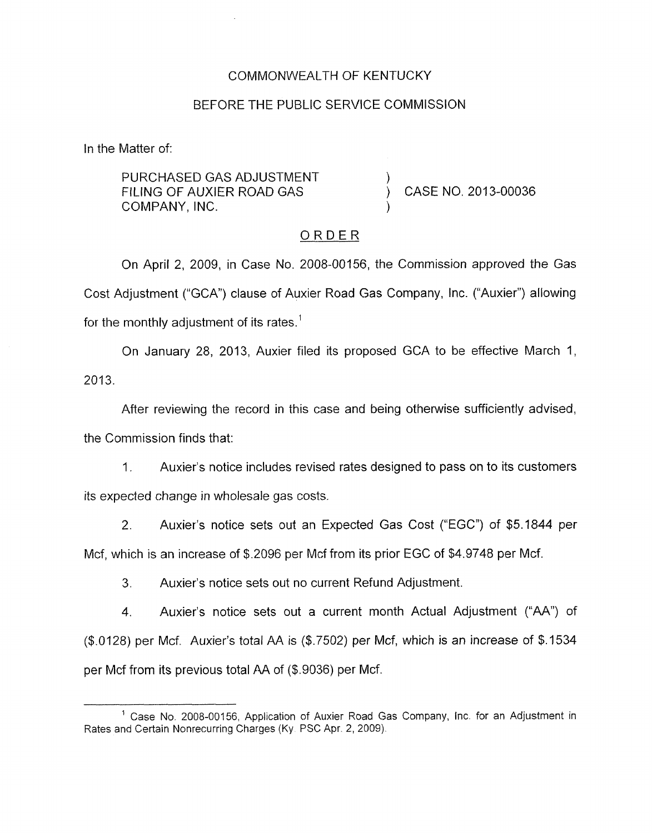#### COMMONWEALTH OF KENTUCKY

#### BEFORE THE PUBLIC SERVICE COMMISSION

In the Matter of:

PURCHASED GAS ADJUSTMENT 1 FILING OF AUXIER ROAD GAS (CASE NO. 2013-00036 COMPANY, INC. )

## ORDER

On April 2, 2009, in Case No. 2008-00156, the Commission approved the Gas Cost Adjustment ("GCA") clause of Auxier Road Gas Company, Inc. ("Auxier") allowing for the monthly adjustment of its rates.'

On January 28, 2013, Auxier filed its proposed GCA to be effective March 1, 2013.

After reviewing the record in this case and being otherwise sufficiently advised,

the Commission finds that:

1. Auxier's notice includes revised rates designed to pass on to its customers its expected change in wholesale gas costs.

2. Auxier's notice sets out an Expected Gas Cost ("EGC") of \$5.1844 per Mcf, which is an increase of \$2096 per Mcf from its prior EGC of \$4.9748 per Mcf.

3. Auxier's notice sets out no current Refund Adjustment.

**4.** Auxier's notice sets out a current month Actual Adjustment ("AA") of (\$.0128) per Mcf. Auxier's total AA is (\$.7502) per Mcf, which is an increase of \$.I534 per Mcf from its previous total *RA* of (\$.9036) per Mcf.

 $<sup>1</sup>$  Case No. 2008-00156, Application of Auxier Road Gas Company, Inc. for an Adjustment in</sup> Rates and Certain Nonrecurring Charges **(Ky** PSC Apr. 2, 2009).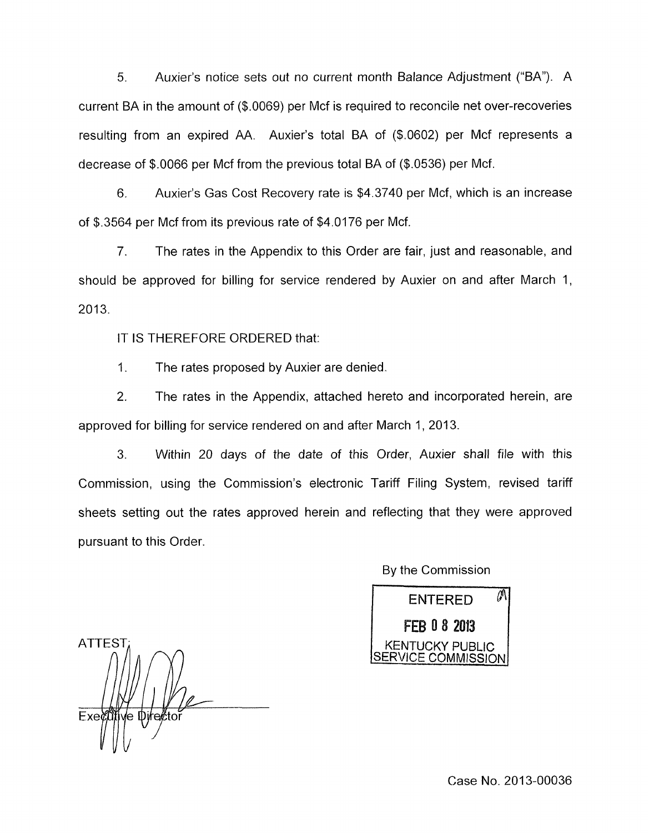*5.* Auxier's notice sets out no current month Balance Adjustment ("BA"). A current BA in the amount of (\$.0069) per Mcf is required to reconcile net over-recoveries resulting from an expired AA. Auxier's total BA of (\$.0602) per Mcf represents a decrease of \$.0066 per Mcf from the previous total BA of (\$.0536) per Mcf.

6. Auxier's Gas Cost Recovery rate is \$4.3740 per Mcf, which is an increase of \$.3564 per Mcf from its previous rate of \$4.0176 per Mcf.

7. The rates in the Appendix to this Order are fair, just and reasonable, and should be approved for billing for service rendered by Auxier on and after March 1, 2013.

IT IS THEREFORE ORDERED that:

1. The rates proposed by Auxier are denied.

2. The rates in the Appendix, attached hereto and incorporated herein, are approved for billing for service rendered on and after March 1, 2013.

3. Within 20 days of the date of this Order, Auxier shall file with this Commission, using the Commission's electronic Tariff Filing System, revised tariff sheets setting out the rates approved herein and reflecting that they were approved pursuant to this Order.

> M **ENTERED** FEB 0 8 2013

KENTUCKY PUBLIC

CE COMMISSION

By the Commission

**ATTEST** í√e Φj⁄re¢toi Exect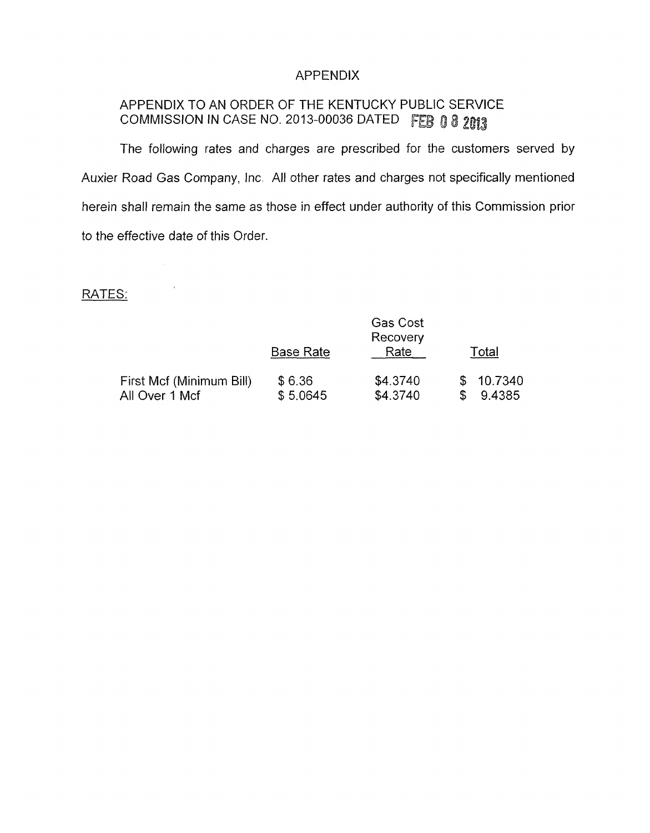### APPENDIX

# APPENDIX TO AN ORDER OF THE KENTUCKY PUBLIC SERVICE COMMISSION IN CASE NO. 2013-00036 DATED FEB 0 8 2013

The following rates and charges are prescribed for the customers served by Auxier Road Gas Company, Inc. All other rates and charges not specifically mentioned herein shall remain the same as those in effect under authority of this Commission prior to the effective date of this Order.

## RATES:

|                                            |                    | <b>Gas Cost</b><br>Recovery |                     |
|--------------------------------------------|--------------------|-----------------------------|---------------------|
|                                            | <b>Base Rate</b>   | Rate                        | Total               |
| First Mcf (Minimum Bill)<br>All Over 1 Mcf | \$6.36<br>\$5.0645 | \$4.3740<br>\$4.3740        | \$10.7340<br>9.4385 |